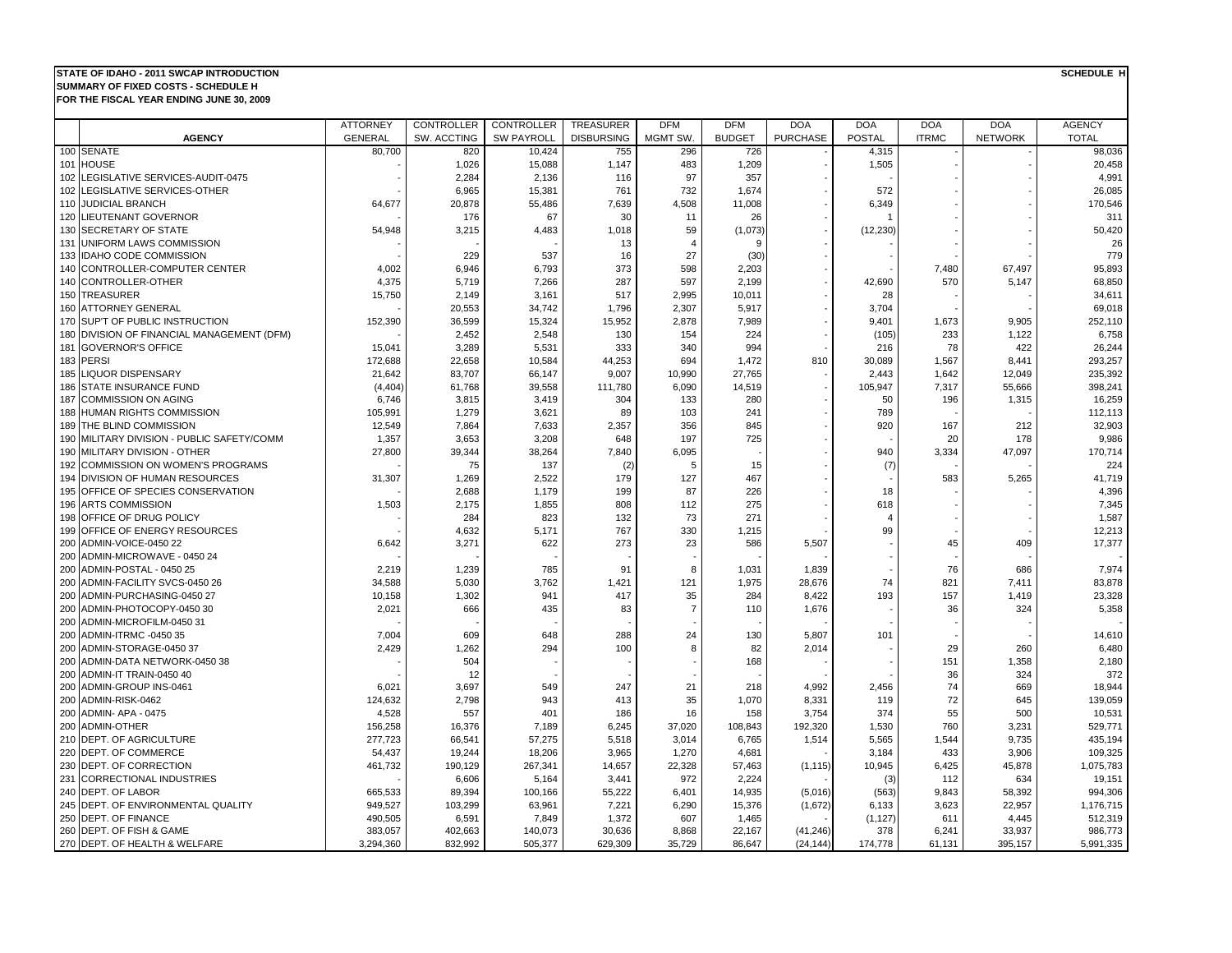## **STATE OF IDAHO - 2011 SWCAP INTRODUCTION**

**FOR THE FISCAL YEAR ENDING JUNE 30, 2009 SUMMARY OF FIXED COSTS - SCHEDULE H**

|     |                                                           | <b>ATTORNEY</b> | <b>CONTROLLER</b> | <b>CONTROLLER</b> | <b>TREASURER</b>  | <b>DFM</b>     | <b>DFM</b>    | <b>DOA</b>      | <b>DOA</b>    | <b>DOA</b>   | <b>DOA</b>     | <b>AGENCY</b>    |
|-----|-----------------------------------------------------------|-----------------|-------------------|-------------------|-------------------|----------------|---------------|-----------------|---------------|--------------|----------------|------------------|
|     | <b>AGENCY</b>                                             | <b>GENERAL</b>  | SW. ACCTING       | <b>SW PAYROLL</b> | <b>DISBURSING</b> | <b>MGMT SW</b> | <b>BUDGET</b> | <b>PURCHASE</b> | <b>POSTAL</b> | <b>ITRMC</b> | <b>NETWORK</b> | <b>TOTAL</b>     |
|     | 100 SENATE                                                | 80,700          | 820               | 10,424            | 755               | 296            | 726           |                 | 4,315         |              |                | 98,036           |
|     | 101 HOUSE                                                 |                 | 1,026             | 15,088            | 1,147             | 483            | 1,209         |                 | 1,505         |              |                | 20,458           |
|     | 102 LEGISLATIVE SERVICES-AUDIT-0475                       |                 | 2,284             | 2,136             | 116               | 97             | 357           |                 |               |              |                | 4,991            |
|     | 102 LEGISLATIVE SERVICES-OTHER                            |                 | 6,965             | 15,381            | 761               | 732            | 1,674         |                 | 572           |              |                | 26,085           |
|     | 110 JUDICIAL BRANCH                                       | 64,677          | 20,878            | 55,486            | 7,639             | 4,508          | 11,008        |                 | 6,349         |              |                | 170,546          |
|     | 120 LIEUTENANT GOVERNOR                                   |                 | 176               | 67                | 30                | 11             | 26            |                 |               |              |                | 311              |
|     | 130 SECRETARY OF STATE                                    | 54,948          | 3,215             | 4,483             | 1,018             | 59             | (1,073)       |                 | (12, 230)     |              |                | 50,420           |
|     | 131 UNIFORM LAWS COMMISSION                               |                 |                   |                   | 13                | $\overline{4}$ |               |                 |               |              |                | 26               |
|     | 133 IDAHO CODE COMMISSION                                 |                 | 229               | 537               | 16                | 27             | (30)          |                 |               |              |                | 779              |
|     | 140 CONTROLLER-COMPUTER CENTER                            | 4,002           | 6,946             | 6,793             | 373               | 598            | 2,203         |                 |               | 7,480        | 67,497         | 95,893           |
|     | 140 CONTROLLER-OTHER                                      | 4,375           | 5,719             | 7,266             | 287               | 597            | 2,199         |                 | 42,690        | 570          | 5,147          | 68,850           |
|     | 150 TREASURER                                             | 15,750          | 2,149             | 3,161             | 517               | 2,995          | 10,011        |                 | 28            |              |                | 34,611           |
|     | 160 ATTORNEY GENERAL                                      |                 | 20,553            | 34,742            | 1,796             | 2,307          | 5,917         |                 | 3,704         |              |                | 69,018           |
|     | 170 SUP'T OF PUBLIC INSTRUCTION                           | 152,390         | 36,599            | 15,324            | 15,952            | 2,878          | 7,989         |                 | 9,401         | 1,673        | 9,905          | 252,110          |
|     | 180 DIVISION OF FINANCIAL MANAGEMENT (DFM)                |                 | 2,452             | 2,548             | 130               | 154            | 224           |                 | (105)         | 233          | 1,122          | 6,758            |
| 181 | <b>GOVERNOR'S OFFICE</b>                                  | 15,041          | 3,289             | 5,531             | 333               | 340            | 994           |                 | 216           | 78           | 422            | 26,244           |
|     | 183 PERSI                                                 | 172,688         | 22,658            | 10,584            | 44,253            | 694            | 1,472         | 810             | 30,089        | 1,567        | 8,441          | 293,257          |
|     | 185 LIQUOR DISPENSARY                                     | 21,642          | 83,707            | 66,147            | 9,007             | 10,990         | 27,765        |                 | 2,443         | 1,642        | 12,049         | 235,392          |
| 186 | <b>STATE INSURANCE FUND</b>                               | (4, 404)        | 61,768            | 39,558            | 111,780           | 6,090          | 14,519        |                 | 105,947       | 7,317        | 55,666         | 398,241          |
|     | 187 COMMISSION ON AGING                                   | 6,746           | 3,815             | 3,419             | 304               | 133            | 280           |                 | 50            | 196          | 1,315          | 16,259           |
|     | 188 HUMAN RIGHTS COMMISSION                               | 105,991         | 1,279             | 3,621             | 89                | 103            | 241           |                 | 789           |              |                | 112,113          |
| 189 | THE BLIND COMMISSION                                      | 12.549          | 7,864             | 7,633             | 2,357             | 356            | 845           |                 | 920           | 167          | 212            | 32,903           |
|     | 190 MILITARY DIVISION - PUBLIC SAFETY/COMM                | 1,357           | 3,653             | 3,208             | 648               | 197            | 725           |                 |               | 20           | 178            | 9,986            |
|     | 190 MILITARY DIVISION - OTHER                             | 27,800          | 39,344            | 38,264            | 7,840             | 6,095          |               |                 | 940           | 3,334        | 47,097         | 170,714          |
| 192 | <b>COMMISSION ON WOMEN'S PROGRAMS</b>                     |                 | 75                | 137               | (2)               | 5              | 15            |                 | (7)           |              |                | 224              |
|     | 194 DIVISION OF HUMAN RESOURCES                           | 31,307          | 1,269             | 2,522             | 179               | 127            | 467           |                 |               | 583          | 5,265          | 41,719           |
|     | 195 OFFICE OF SPECIES CONSERVATION                        |                 | 2,688             | 1,179             | 199               | 87             | 226           |                 | 18            |              |                | 4,396            |
| 196 | <b>ARTS COMMISSION</b>                                    | 1,503           | 2,175             | 1,855             | 808               | 112            | 275           |                 | 618           |              |                | 7,345            |
|     | 198 OFFICE OF DRUG POLICY                                 |                 | 284               | 823               | 132               | 73             | 271           |                 | 4             |              |                | 1,587            |
|     | 199 OFFICE OF ENERGY RESOURCES<br>200 ADMIN-VOICE-0450 22 | 6,642           | 4,632<br>3,271    | 5,171<br>622      | 767<br>273        | 330<br>23      | 1,215         | 5,507           | 99            | 45           | 409            | 12,213<br>17,377 |
|     | 200 ADMIN-MICROWAVE - 0450 24                             |                 |                   |                   |                   |                | 586           |                 |               |              |                |                  |
| 200 | ADMIN-POSTAL - 0450 25                                    | 2,219           | 1,239             | 785               | 91                | 8              | 1,031         | 1,839           |               | 76           | 686            | 7,974            |
| 200 | ADMIN-FACILITY SVCS-0450 26                               | 34,588          | 5,030             | 3,762             | 1,421             | 121            | 1,975         | 28,676          | 74            | 821          | 7,411          | 83,878           |
| 200 | ADMIN-PURCHASING-0450 27                                  | 10,158          | 1,302             | 941               | 417               | 35             | 284           | 8,422           | 193           | 157          | 1,419          | 23,328           |
| 200 | ADMIN-PHOTOCOPY-0450 30                                   | 2,021           | 666               | 435               | 83                | $\overline{7}$ | 110           | 1,676           |               | 36           | 324            | 5,358            |
| 200 | ADMIN-MICROFILM-0450 31                                   |                 |                   |                   |                   |                |               |                 |               |              |                |                  |
| 200 | ADMIN-ITRMC -0450 35                                      | 7,004           | 609               | 648               | 288               | 24             | 130           | 5,807           | 101           |              |                | 14,610           |
| 200 | ADMIN-STORAGE-0450 37                                     | 2,429           | 1,262             | 294               | 100               | 8              | 82            | 2,014           |               | 29           | 260            | 6,480            |
| 200 | ADMIN-DATA NETWORK-0450 38                                |                 | 504               |                   |                   |                | 168           |                 |               | 151          | 1,358          | 2,180            |
|     | 200 ADMIN-IT TRAIN-0450 40                                |                 | 12                |                   |                   |                |               |                 |               | 36           | 324            | 372              |
| 200 | <b>ADMIN-GROUP INS-0461</b>                               | 6,021           | 3,697             | 549               | 247               | 21             | 218           | 4,992           | 2,456         | 74           | 669            | 18,944           |
|     | 200 ADMIN-RISK-0462                                       | 124,632         | 2,798             | 943               | 413               | 35             | 1,070         | 8,331           | 119           | 72           | 645            | 139,059          |
|     | 200 ADMIN- APA - 0475                                     | 4,528           | 557               | 401               | 186               | 16             | 158           | 3,754           | 374           | 55           | 500            | 10,531           |
| 200 | <b>ADMIN-OTHER</b>                                        | 156,258         | 16,376            | 7,189             | 6,245             | 37,020         | 108,843       | 192,320         | 1,530         | 760          | 3,231          | 529,771          |
|     | 210 DEPT. OF AGRICULTURE                                  | 277,723         | 66,541            | 57,275            | 5,518             | 3,014          | 6,765         | 1,514           | 5,565         | 1,544        | 9,735          | 435,194          |
|     | 220 DEPT. OF COMMERCE                                     | 54,437          | 19,244            | 18,206            | 3,965             | 1,270          | 4,681         |                 | 3,184         | 433          | 3,906          | 109,325          |
|     | 230 DEPT. OF CORRECTION                                   | 461,732         | 190,129           | 267,341           | 14,657            | 22,328         | 57,463        | (1, 115)        | 10,945        | 6,425        | 45,878         | 1,075,783        |
|     | 231 CORRECTIONAL INDUSTRIES                               |                 | 6,606             | 5,164             | 3,441             | 972            | 2,224         |                 | (3)           | 112          | 634            | 19,151           |
|     | 240 DEPT. OF LABOR                                        | 665,533         | 89,394            | 100,166           | 55,222            | 6,401          | 14,935        | (5,016)         | (563)         | 9,843        | 58,392         | 994,306          |
|     | 245 DEPT. OF ENVIRONMENTAL QUALITY                        | 949,527         | 103,299           | 63,961            | 7,221             | 6,290          | 15,376        | (1,672)         | 6,133         | 3,623        | 22,957         | 1,176,715        |
|     | 250 DEPT. OF FINANCE                                      | 490,505         | 6,591             | 7,849             | 1,372             | 607            | 1,465         |                 | (1, 127)      | 611          | 4,445          | 512,319          |
|     | 260 DEPT. OF FISH & GAME                                  | 383,057         | 402,663           | 140,073           | 30,636            | 8,868          | 22,167        | (41, 246)       | 378           | 6,241        | 33,937         | 986,773          |
|     | 270 DEPT. OF HEALTH & WELFARE                             | 3,294,360       | 832,992           | 505,377           | 629,309           | 35,729         | 86,647        | (24, 144)       | 174,778       | 61,131       | 395,157        | 5,991,335        |

**SCHEDULE H**